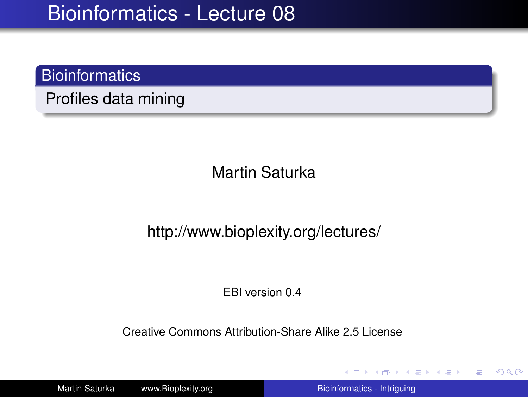#### **Bioinformatics**

Profiles data mining

Martin Saturka

http://www.bioplexity.org/lectures/

EBI version 0.4

Creative Commons Attribution-Share Alike 2.5 License

Martin Saturka www.Bioplexity.org **Bionic Biometers** [Bioinformatics - Intriguing](#page-31-0)

イロト イ押 トイヨ トイヨ トー

<span id="page-0-0"></span>÷.  $2990$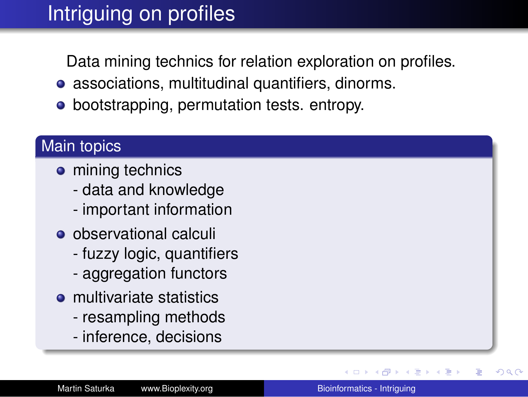# Intriguing on profiles

Data mining technics for relation exploration on profiles.

- associations, multitudinal quantifiers, dinorms.
- bootstrapping, permutation tests. entropy.

#### Main topics

- mining technics
	- data and knowledge
	- important information
- observational calculi
	- fuzzy logic, quantifiers
	- aggregation functors
- $\bullet$  multivariate statistics
	- resampling methods
	- inference, decisions

→ 重→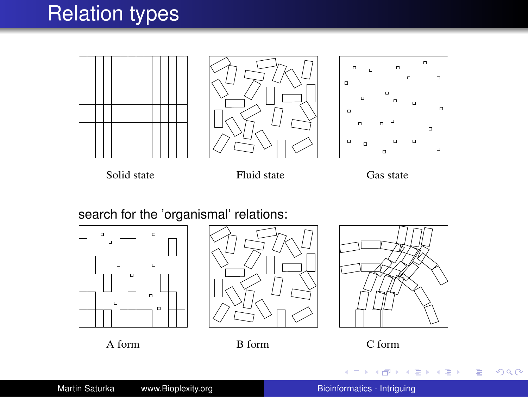### Relation types







Solid state Fluid state Gas state

search for the 'organismal' relations:









K ロ ト K 個 ト K 重 ト K 重 ト 一重 .

 $299$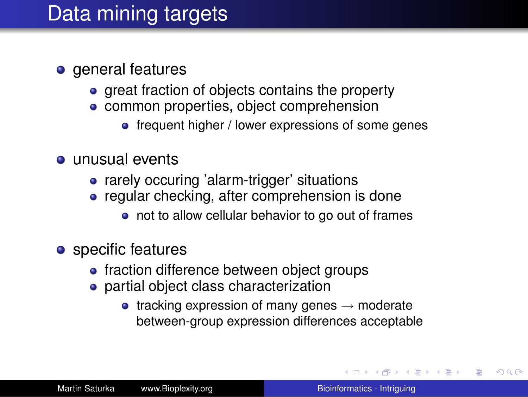## Data mining targets

- **o** general features
	- great fraction of objects contains the property
	- common properties, object comprehension
		- frequent higher / lower expressions of some genes
- unusual events
	- rarely occuring 'alarm-trigger' situations
	- regular checking, after comprehension is done
		- not to allow cellular behavior to go out of frames
- **o** specific features
	- fraction difference between object groups
	- **•** partial object class characterization
		- tracking expression of many genes  $\rightarrow$  moderate between-group expression differences acceptable

イロト イ押 トイヨ トイヨ トー

÷.  $QQ$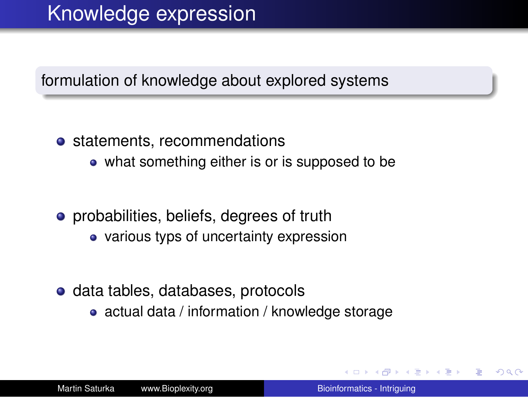#### formulation of knowledge about explored systems

#### • statements, recommendations

- what something either is or is supposed to be
- **•** probabilities, beliefs, degrees of truth
	- various typs of uncertainty expression
- **o** data tables, databases, protocols
	- actual data / information / knowledge storage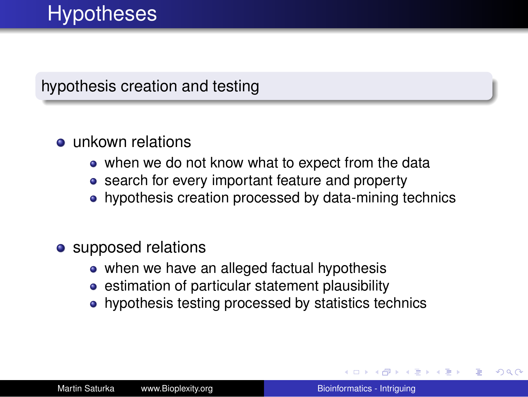#### hypothesis creation and testing

#### $\bullet$  unkown relations

- when we do not know what to expect from the data
- search for every important feature and property
- hypothesis creation processed by data-mining technics

#### • supposed relations

- when we have an alleged factual hypothesis
- **•** estimation of particular statement plausibility
- hypothesis testing processed by statistics technics

4 何 ト 4 日

 $290$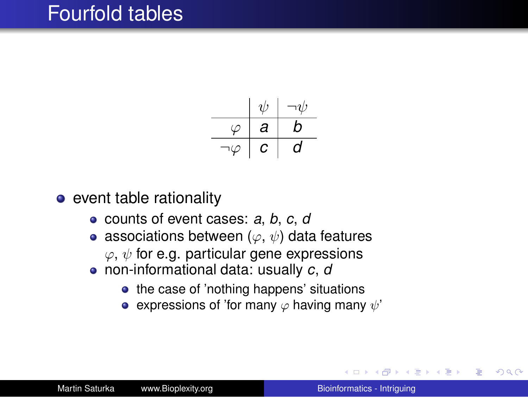### Fourfold tables



 $\bullet$  event table rationality

- counts of event cases: *a*, *b*, *c*, *d*
- associations between ( $\varphi, \psi$ ) data features  $\varphi, \psi$  for e.g. particular gene expressions
- non-informational data: usually *c*, *d*
	- the case of 'nothing happens' situations
	- expressions of 'for many  $\varphi$  having many  $\psi'$

重き B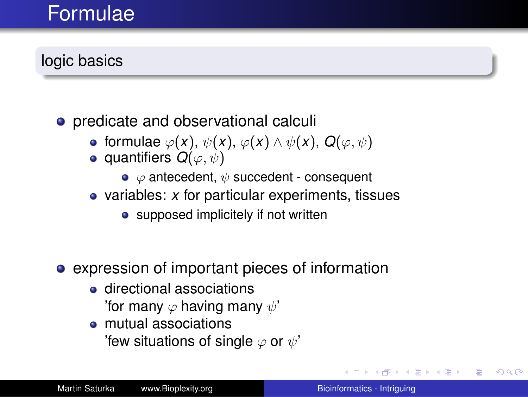### Formulae

### logic basics

- predicate and observational calculi
	- **•** formulae  $\varphi(x)$ ,  $\psi(x)$ ,  $\varphi(x) \land \psi(x)$ ,  $Q(\varphi, \psi)$
	- **•** quantifiers  $Q(\varphi, \psi)$ 
		- $\bullet \varphi$  antecedent,  $\psi$  succedent consequent
	- variables: *x* for particular experiments, tissues
		- supposed implicitely if not written
- expression of important pieces of information
	- directional associations 'for many  $\varphi$  having many  $\psi'$
	- mutual associations 'few situations of single  $\varphi$  or  $\psi'$

 $2990$ 

重き B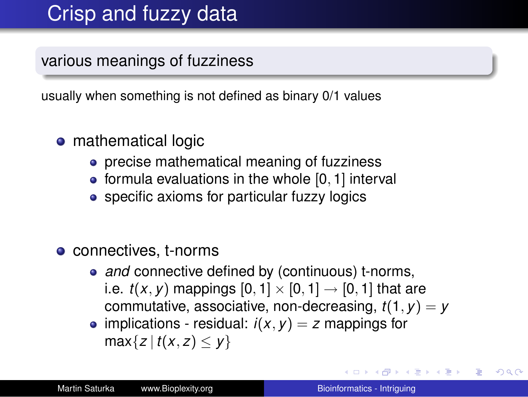## Crisp and fuzzy data

various meanings of fuzziness

usually when something is not defined as binary 0/1 values

- mathematical logic
	- **•** precise mathematical meaning of fuzziness
	- $\bullet$  formula evaluations in the whole  $[0, 1]$  interval
	- specific axioms for particular fuzzy logics
- connectives, t-norms
	- and connective defined by (continuous) t-norms, i.e.  $t(x, y)$  mappings  $[0, 1] \times [0, 1] \rightarrow [0, 1]$  that are commutative, associative, non-decreasing,  $t(1, y) = y$
	- implications residual:  $i(x, y) = z$  mappings for  $max{z | t(x, z) \le y}$

**K ロ ▶ K 何 ▶ K ヨ ▶ K ヨ ▶** 

B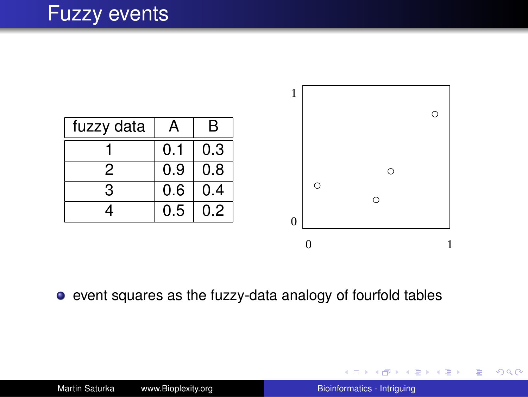### Fuzzy events



event squares as the fuzzy-data analogy of fourfold tables

KO KA KE KA BIKI BIKI YA K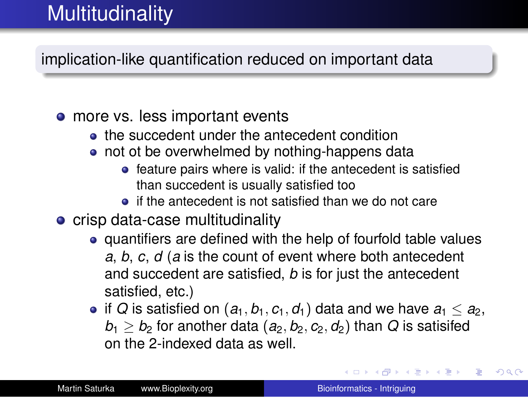# **Multitudinality**

implication-like quantification reduced on important data

#### • more vs. less important events

- **•** the succedent under the antecedent condition
- not ot be overwhelmed by nothing-happens data
	- **•** feature pairs where is valid: if the antecedent is satisfied than succedent is usually satisfied too
	- **•** if the antecedent is not satisfied than we do not care
- **•** crisp data-case multitudinality
	- quantifiers are defined with the help of fourfold table values *a*, *b*, *c*, *d* (*a* is the count of event where both antecedent and succedent are satisfied, *b* is for just the antecedent satisfied, etc.)
	- if *Q* is satisfied on  $(a_1, b_1, c_1, d_1)$  data and we have  $a_1 \le a_2$ ,  $b_1 \geq b_2$  for another data  $(a_2, b_2, c_2, d_2)$  than *Q* is satisifed on the 2-indexed data as well.

**K ロ ト K 何 ト K ヨ ト K ヨ ト**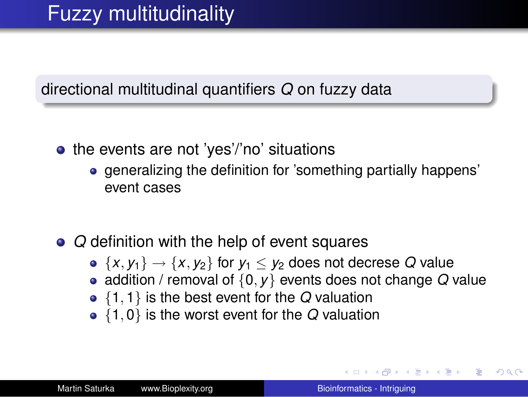#### directional multitudinal quantifiers *Q* on fuzzy data

- $\bullet$  the events are not 'yes'/'no' situations
	- generalizing the definition for 'something partially happens' event cases
- *Q* definition with the help of event squares
	- $\bullet \{x, y_1\} \rightarrow \{x, y_2\}$  for  $y_1 \leq y_2$  does not decrese Q value
	- addition / removal of {0, *y*} events does not change *Q* value
	- {1, 1} is the best event for the *Q* valuation
	- {1, 0} is the worst event for the *Q* valuation

**K ロ ▶ K 何 ▶ K ヨ ▶ K ヨ ▶** 

B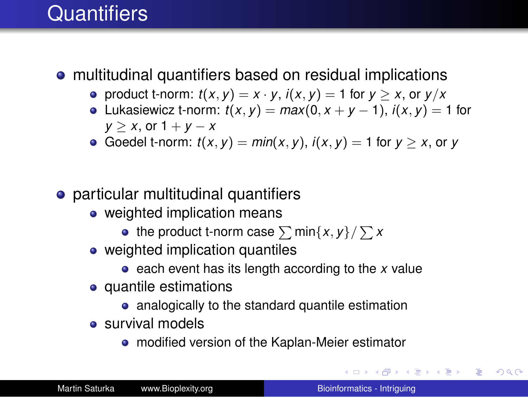### **Quantifiers**

#### multitudinal quantifiers based on residual implications

- product t-norm:  $t(x, y) = x \cdot y$ ,  $i(x, y) = 1$  for  $y > x$ , or  $y/x$
- $\bullet$  Lukasiewicz t-norm:  $t(x, y) = max(0, x + y 1), i(x, y) = 1$  for *y*  $> x$ , or 1 + *y*  $- x$
- Goedel t-norm:  $t(x, y) = min(x, y)$ ,  $i(x, y) = 1$  for  $y > x$ , or y
- particular multitudinal quantifiers
	- weighted implication means
		- the product t-norm case  $\sum$  min $\{x,y\}/\sum x$
	- weighted implication quantiles
		- each event has its length according to the *x* value
	- quantile estimations
		- analogically to the standard quantile estimation
	- survival models
		- modified version of the Kaplan-Meier estimator

イロト イ伊 トイヨ トイヨ トー

噴く  $2Q$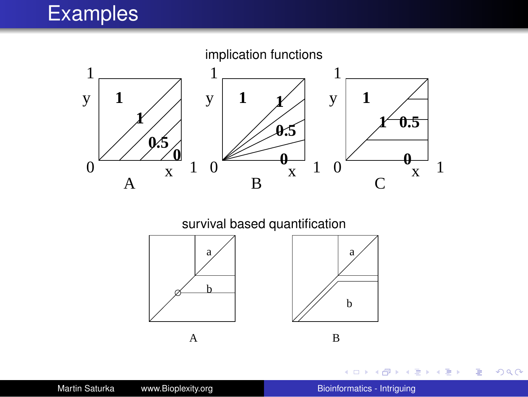# Examples



survival based quantification





←←

×

不思う 不思う し

重。  $299$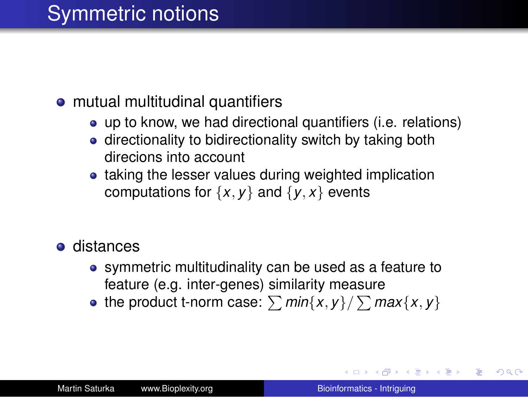## Symmetric notions

#### • mutual multitudinal quantifiers

- up to know, we had directional quantifiers (i.e. relations)
- directionality to bidirectionality switch by taking both direcions into account
- taking the lesser values during weighted implication computations for  $\{x, y\}$  and  $\{y, x\}$  events
- **o** distances
	- symmetric multitudinality can be used as a feature to feature (e.g. inter-genes) similarity measure
	- the product t-norm case:  $\sum min\{x, y\}/\sum max\{x, y\}$

**≮ロ ▶ ⊀ 御 ▶ ⊀ ヨ ▶ ⊀ ヨ ▶** 

B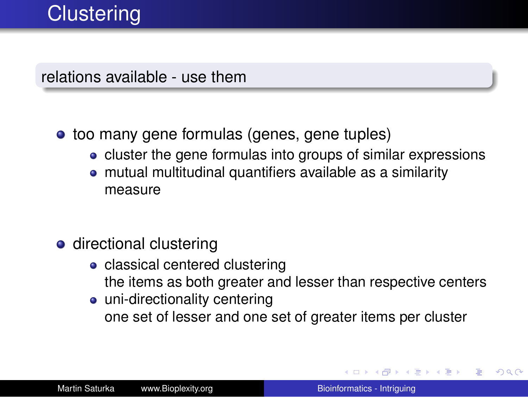relations available - use them

- too many gene formulas (genes, gene tuples)
	- cluster the gene formulas into groups of similar expressions
	- mutual multitudinal quantifiers available as a similarity measure
- **o** directional clustering
	- classical centered clustering the items as both greater and lesser than respective centers
	- uni-directionality centering one set of lesser and one set of greater items per cluster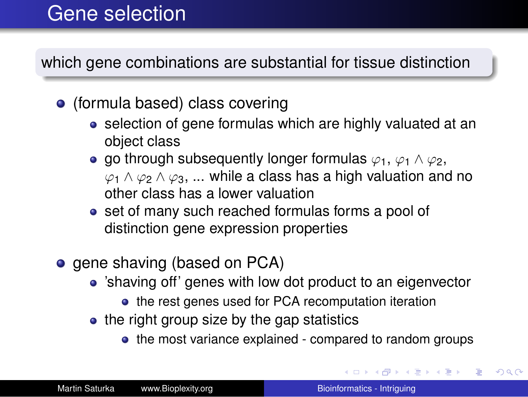### Gene selection

which gene combinations are substantial for tissue distinction

- (formula based) class covering
	- selection of gene formulas which are highly valuated at an object class
	- o go through subsequently longer formulas  $\varphi_1$ ,  $\varphi_1 \wedge \varphi_2$ ,  $\varphi_1 \wedge \varphi_2 \wedge \varphi_3$ , ... while a class has a high valuation and no other class has a lower valuation
	- set of many such reached formulas forms a pool of distinction gene expression properties
- gene shaving (based on PCA)
	- 'shaving off' genes with low dot product to an eigenvector
		- the rest genes used for PCA recomputation iteration
	- $\bullet$  the right group size by the gap statistics
		- the most variance explained compared to random groups

イロト イ押 トイヨ トイヨ トー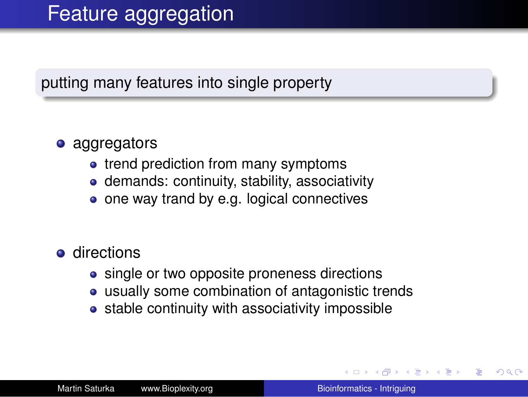## Feature aggregation

#### putting many features into single property

#### • aggregators

- trend prediction from many symptoms
- demands: continuity, stability, associativity
- one way trand by e.g. logical connectives

#### **o** directions

- single or two opposite proneness directions
- usually some combination of antagonistic trends
- stable continuity with associativity impossible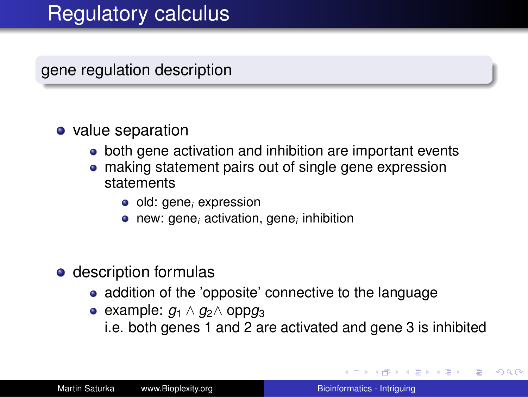gene regulation description

#### • value separation

- both gene activation and inhibition are important events
- making statement pairs out of single gene expression statements
	- old: gene*<sup>i</sup>* expression
	- new: gene*<sup>i</sup>* activation, gene*<sup>i</sup>* inhibition
- description formulas
	- addition of the 'opposite' connective to the language
	- $\bullet$  example:  $q_1 \wedge q_2 \wedge$  opp $q_3$ 
		- i.e. both genes 1 and 2 are activated and gene 3 is inhibited

イロト イ押 トイヨ トイヨト

B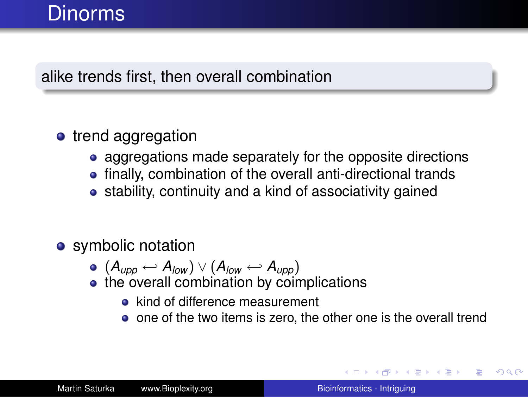### Dinorms

#### alike trends first, then overall combination

#### • trend aggregation

- aggregations made separately for the opposite directions
- finally, combination of the overall anti-directional trands
- stability, continuity and a kind of associativity gained

#### • symbolic notation

- $\bullet$  (*A*<sub>upp</sub> ← *A*<sub>low</sub>)  $\vee$  (*A*<sub>low</sub> ← *A*<sub>upp</sub>)
- the overall combination by coimplications
	- kind of difference measurement
	- o one of the two items is zero, the other one is the overall trend

イロト イ押 トイヨ トイヨ トー

B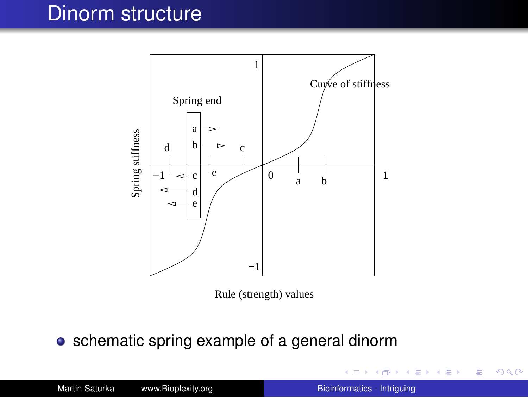### Dinorm structure



Rule (strength) values

• schematic spring example of a general dinorm

4 0 8

④ → → 重 → → 重 → 三重

 $299$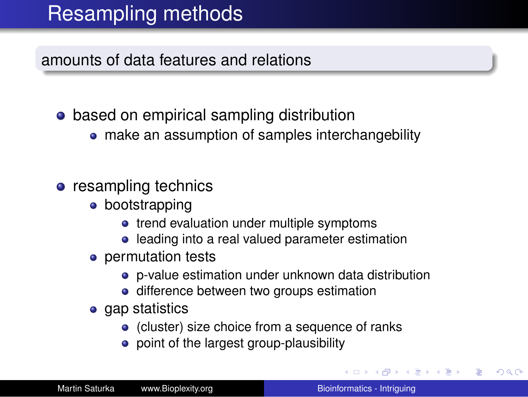# Resampling methods

amounts of data features and relations

- based on empirical sampling distribution
	- make an assumption of samples interchangebility
- resampling technics
	- bootstrapping
		- trend evaluation under multiple symptoms
		- leading into a real valued parameter estimation
	- permutation tests
		- p-value estimation under unknown data distribution
		- **·** difference between two groups estimation
	- gap statistics
		- (cluster) size choice from a sequence of ranks
		- point of the largest group-plausibility

→ 伊 ▶ → 臣

→重き。

÷.  $QQ$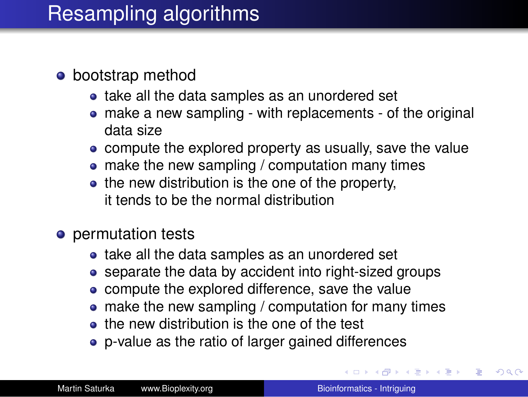## Resampling algorithms

#### • bootstrap method

- take all the data samples as an unordered set
- make a new sampling with replacements of the original data size
- compute the explored property as usually, save the value
- make the new sampling / computation many times
- the new distribution is the one of the property, it tends to be the normal distribution
- permutation tests
	- take all the data samples as an unordered set
	- separate the data by accident into right-sized groups
	- compute the explored difference, save the value
	- make the new sampling / computation for many times
	- **•** the new distribution is the one of the test
	- p-value as the ratio of larger gained differences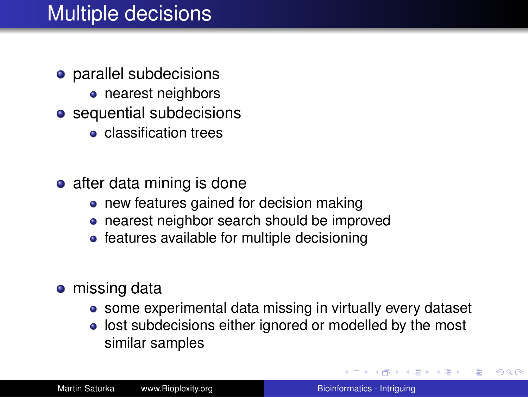## Multiple decisions

- **•** parallel subdecisions
	- nearest neighbors
- **o** sequential subdecisions
	- **e** classification trees
- $\bullet$  after data mining is done
	- new features gained for decision making
	- nearest neighbor search should be improved
	- features available for multiple decisioning
- missing data
	- some experimental data missing in virtually every dataset
	- **.** lost subdecisions either ignored or modelled by the most similar samples

イロメ イ押メ イヨメ イヨメー

 $2990$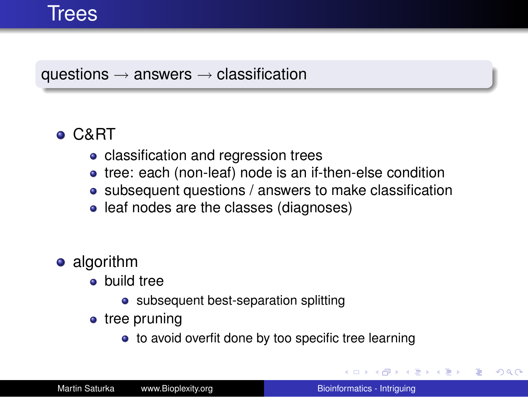#### questions  $\rightarrow$  answers  $\rightarrow$  classification

### C&RT

- classification and regression trees
- tree: each (non-leaf) node is an if-then-else condition
- subsequent questions / answers to make classification
- leaf nodes are the classes (diagnoses)
- algorithm
	- build tree
		- subsequent best-separation splitting
	- tree pruning
		- to avoid overfit done by too specific tree learning

イロト イ団ト イヨト イヨト

B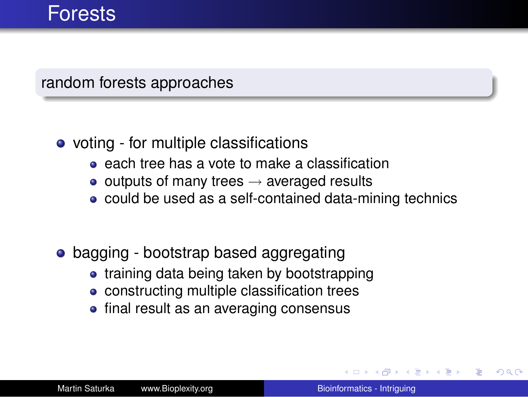#### random forests approaches

- voting for multiple classifications
	- **e** each tree has a vote to make a classification
	- $\bullet$  outputs of many trees  $\rightarrow$  averaged results
	- could be used as a self-contained data-mining technics
- bagging bootstrap based aggregating
	- training data being taken by bootstrapping
	- constructing multiple classification trees
	- final result as an averaging consensus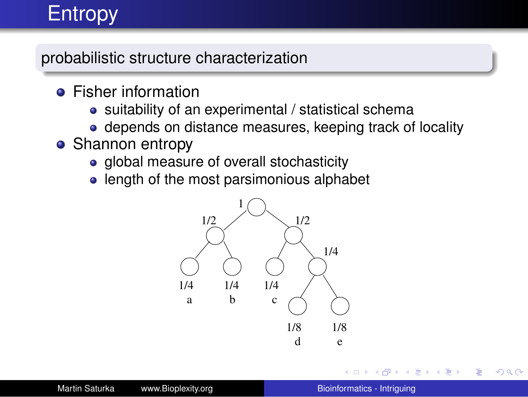# Entropy

probabilistic structure characterization

- **•** Fisher information
	- suitability of an experimental / statistical schema
	- depends on distance measures, keeping track of locality
- Shannon entropy
	- global measure of overall stochasticity
	- length of the most parsimonious alphabet



 $\equiv$   $\rightarrow$ 

B

 $2990$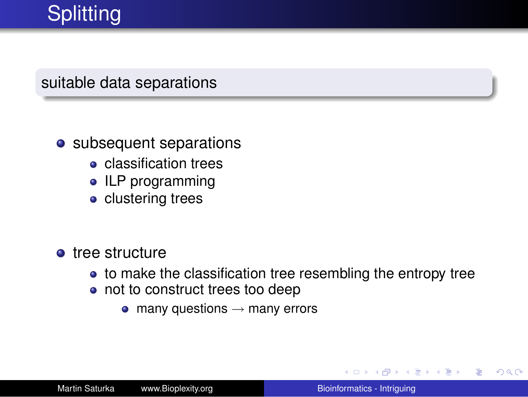# **Splitting**

#### suitable data separations

#### • subsequent separations

- **o** classification trees
- ILP programming
- clustering trees
- **o** tree structure
	- to make the classification tree resembling the entropy tree
	- not to construct trees too deep
		- $\bullet$  many questions  $\rightarrow$  many errors

す画→ B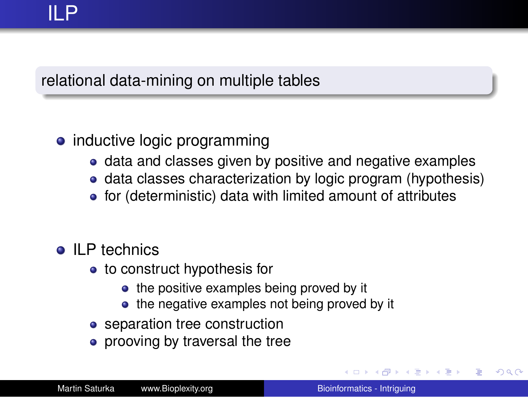#### relational data-mining on multiple tables

### • inductive logic programming

- data and classes given by positive and negative examples
- data classes characterization by logic program (hypothesis)
- for (deterministic) data with limited amount of attributes

#### **ILP** technics

- to construct hypothesis for
	- the positive examples being proved by it
	- the negative examples not being proved by it
- separation tree construction
- prooving by traversal the tree

(ロ) (伊) (三)

す重き。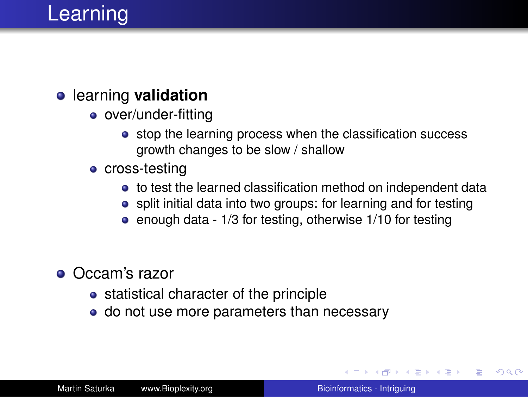# Learning

#### learning **validation**

- over/under-fitting
	- stop the learning process when the classification success growth changes to be slow / shallow
- cross-testing
	- to test the learned classification method on independent data
	- split initial data into two groups: for learning and for testing
	- enough data 1/3 for testing, otherwise 1/10 for testing
- Occam's razor
	- statistical character of the principle
	- do not use more parameters than necessary

イロメ イ押メ イヨメ イヨメー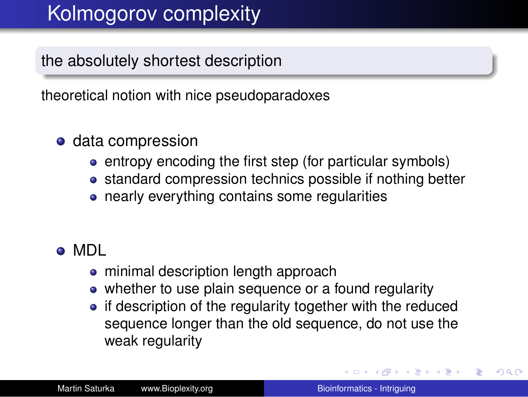# Kolmogorov complexity

the absolutely shortest description

theoretical notion with nice pseudoparadoxes

#### o data compression

- entropy encoding the first step (for particular symbols)
- standard compression technics possible if nothing better
- nearly everything contains some regularities

#### MDL

- minimal description length approach
- whether to use plain sequence or a found regularity
- if description of the regularity together with the reduced sequence longer than the old sequence, do not use the weak regularity

イロメ イ伊 メイヨメイヨメー